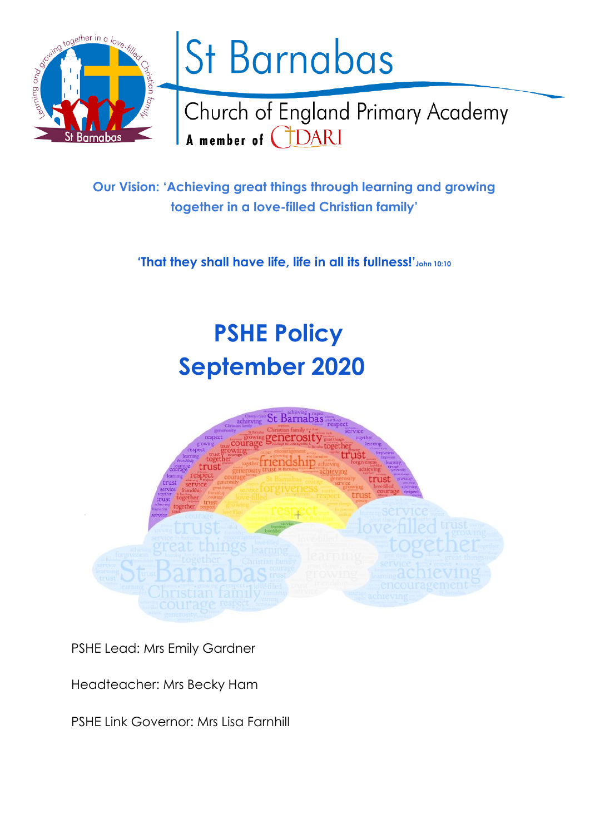

# St Barnabas

Church of England Primary Academy A member of CIDARI

**Our Vision: 'Achieving great things through learning and growing together in a love-filled Christian family'**

**'That they shall have life, life in all its fullness!'John 10:10**

# **PSHE Policy September 2020**



PSHE Lead: Mrs Emily Gardner

Headteacher: Mrs Becky Ham

PSHE Link Governor: Mrs Lisa Farnhill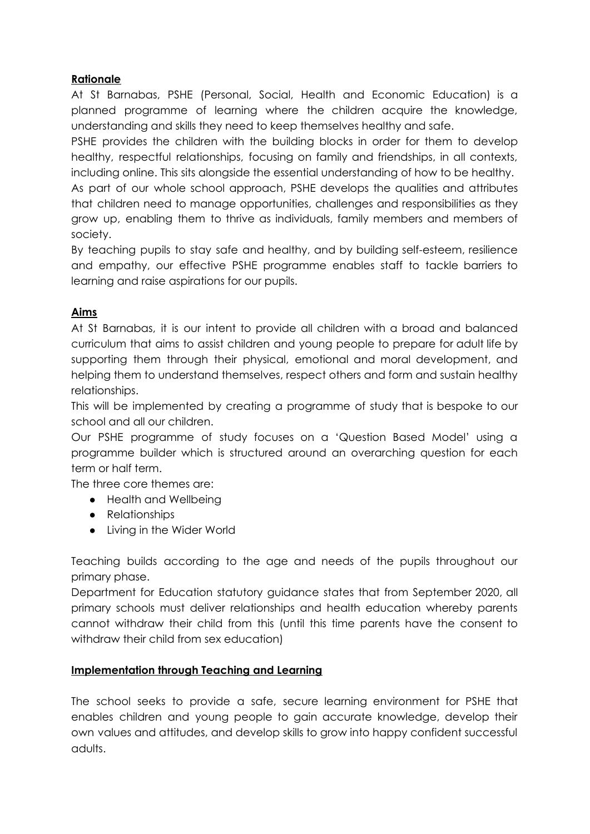# **Rationale**

At St Barnabas, PSHE (Personal, Social, Health and Economic Education) is a planned programme of learning where the children acquire the knowledge, understanding and skills they need to keep themselves healthy and safe.

PSHE provides the children with the building blocks in order for them to develop healthy, respectful relationships, focusing on family and friendships, in all contexts, including online. This sits alongside the essential understanding of how to be healthy.

As part of our whole school approach, PSHE develops the qualities and attributes that children need to manage opportunities, challenges and responsibilities as they grow up, enabling them to thrive as individuals, family members and members of society.

By teaching pupils to stay safe and healthy, and by building self-esteem, resilience and empathy, our effective PSHE programme enables staff to tackle barriers to learning and raise aspirations for our pupils.

# **Aims**

At St Barnabas, it is our intent to provide all children with a broad and balanced curriculum that aims to assist children and young people to prepare for adult life by supporting them through their physical, emotional and moral development, and helping them to understand themselves, respect others and form and sustain healthy relationships.

This will be implemented by creating a programme of study that is bespoke to our school and all our children.

Our PSHE programme of study focuses on a 'Question Based Model' using a programme builder which is structured around an overarching question for each term or half term.

The three core themes are:

- Health and Wellbeing
- Relationships
- Living in the Wider World

Teaching builds according to the age and needs of the pupils throughout our primary phase.

Department for Education statutory guidance states that from September 2020, all primary schools must deliver relationships and health education whereby parents cannot withdraw their child from this (until this time parents have the consent to withdraw their child from sex education)

#### **Implementation through Teaching and Learning**

The school seeks to provide a safe, secure learning environment for PSHE that enables children and young people to gain accurate knowledge, develop their own values and attitudes, and develop skills to grow into happy confident successful adults.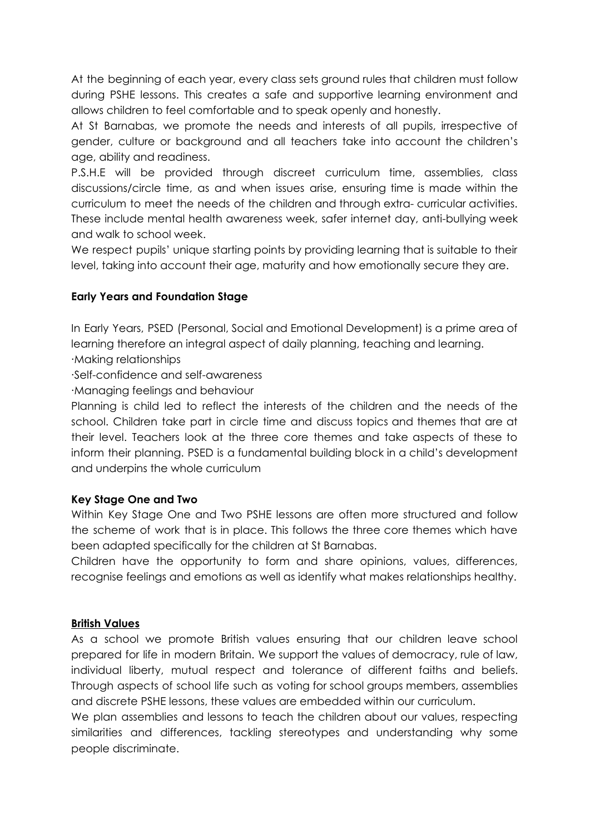At the beginning of each year, every class sets ground rules that children must follow during PSHE lessons. This creates a safe and supportive learning environment and allows children to feel comfortable and to speak openly and honestly.

At St Barnabas, we promote the needs and interests of all pupils, irrespective of gender, culture or background and all teachers take into account the children's age, ability and readiness.

P.S.H.E will be provided through discreet curriculum time, assemblies, class discussions/circle time, as and when issues arise, ensuring time is made within the curriculum to meet the needs of the children and through extra- curricular activities. These include mental health awareness week, safer internet day, anti-bullying week and walk to school week.

We respect pupils' unique starting points by providing learning that is suitable to their level, taking into account their age, maturity and how emotionally secure they are.

## **Early Years and Foundation Stage**

In Early Years, PSED (Personal, Social and Emotional Development) is a prime area of learning therefore an integral aspect of daily planning, teaching and learning.

∙Making relationships

∙Self-confidence and self-awareness

∙Managing feelings and behaviour

Planning is child led to reflect the interests of the children and the needs of the school. Children take part in circle time and discuss topics and themes that are at their level. Teachers look at the three core themes and take aspects of these to inform their planning. PSED is a fundamental building block in a child's development and underpins the whole curriculum

#### **Key Stage One and Two**

Within Key Stage One and Two PSHE lessons are often more structured and follow the scheme of work that is in place. This follows the three core themes which have been adapted specifically for the children at St Barnabas.

Children have the opportunity to form and share opinions, values, differences, recognise feelings and emotions as well as identify what makes relationships healthy.

#### **British Values**

As a school we promote British values ensuring that our children leave school prepared for life in modern Britain. We support the values of democracy, rule of law, individual liberty, mutual respect and tolerance of different faiths and beliefs. Through aspects of school life such as voting for school groups members, assemblies and discrete PSHE lessons, these values are embedded within our curriculum.

We plan assemblies and lessons to teach the children about our values, respecting similarities and differences, tackling stereotypes and understanding why some people discriminate.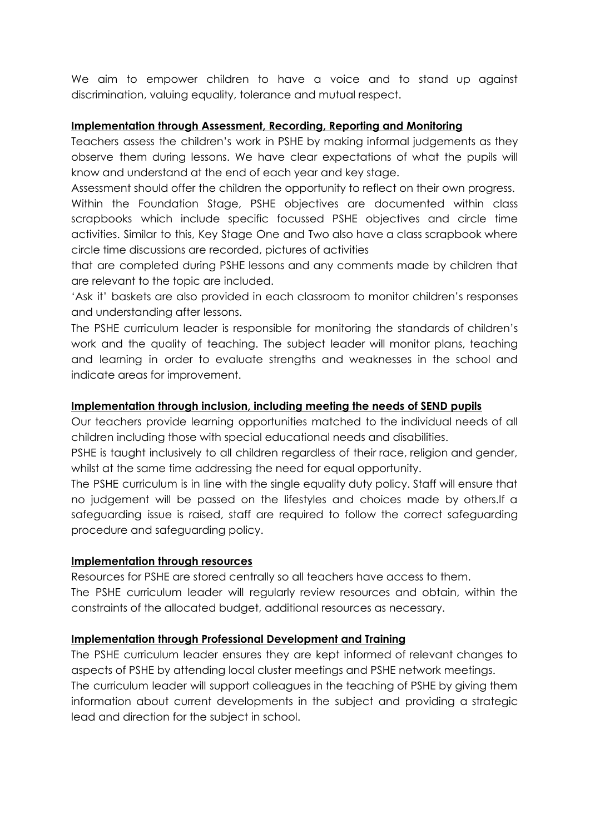We aim to empower children to have a voice and to stand up against discrimination, valuing equality, tolerance and mutual respect.

#### **Implementation through Assessment, Recording, Reporting and Monitoring**

Teachers assess the children's work in PSHE by making informal judgements as they observe them during lessons. We have clear expectations of what the pupils will know and understand at the end of each year and key stage.

Assessment should offer the children the opportunity to reflect on their own progress.

Within the Foundation Stage, PSHE objectives are documented within class scrapbooks which include specific focussed PSHE objectives and circle time activities. Similar to this, Key Stage One and Two also have a class scrapbook where circle time discussions are recorded, pictures of activities

that are completed during PSHE lessons and any comments made by children that are relevant to the topic are included.

'Ask it' baskets are also provided in each classroom to monitor children's responses and understanding after lessons.

The PSHE curriculum leader is responsible for monitoring the standards of children's work and the quality of teaching. The subject leader will monitor plans, teaching and learning in order to evaluate strengths and weaknesses in the school and indicate areas for improvement.

## **Implementation through inclusion, including meeting the needs of SEND pupils**

Our teachers provide learning opportunities matched to the individual needs of all children including those with special educational needs and disabilities.

PSHE is taught inclusively to all children regardless of their race, religion and gender, whilst at the same time addressing the need for equal opportunity.

The PSHE curriculum is in line with the single equality duty policy. Staff will ensure that no judgement will be passed on the lifestyles and choices made by others.If a safeguarding issue is raised, staff are required to follow the correct safeguarding procedure and safeguarding policy.

#### **Implementation through resources**

Resources for PSHE are stored centrally so all teachers have access to them. The PSHE curriculum leader will regularly review resources and obtain, within the constraints of the allocated budget, additional resources as necessary.

#### **Implementation through Professional Development and Training**

The PSHE curriculum leader ensures they are kept informed of relevant changes to aspects of PSHE by attending local cluster meetings and PSHE network meetings. The curriculum leader will support colleagues in the teaching of PSHE by giving them information about current developments in the subject and providing a strategic lead and direction for the subject in school.